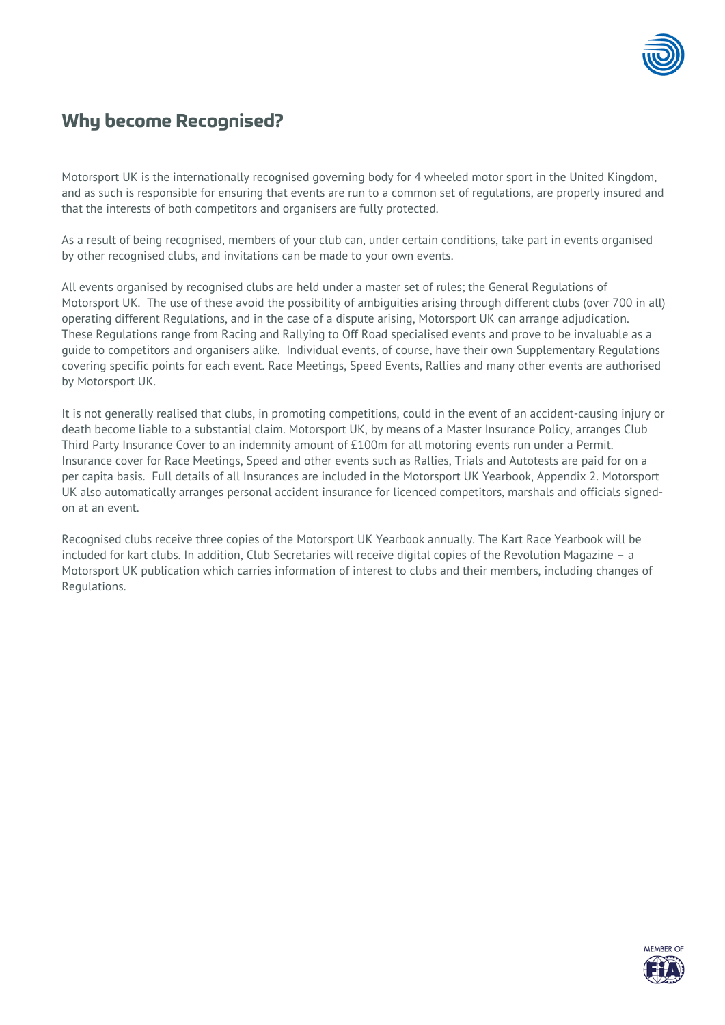## **Why become Recognised?**

Motorsport UK is the internationally recognised governing body for 4 wheeled motor sport in the United Kingdom, and as such is responsible for ensuring that events are run to a common set of regulations, are properly insured and that the interests of both competitors and organisers are fully protected.

As a result of being recognised, members of your club can, under certain conditions, take part in events organised by other recognised clubs, and invitations can be made to your own events.

All events organised by recognised clubs are held under a master set of rules; the General Regulations of Motorsport UK. The use of these avoid the possibility of ambiguities arising through different clubs (over 700 in all) operating different Regulations, and in the case of a dispute arising, Motorsport UK can arrange adjudication. These Regulations range from Racing and Rallying to Off Road specialised events and prove to be invaluable as a guide to competitors and organisers alike. Individual events, of course, have their own Supplementary Regulations covering specific points for each event. Race Meetings, Speed Events, Rallies and many other events are authorised by Motorsport UK.

It is not generally realised that clubs, in promoting competitions, could in the event of an accident-causing injury or death become liable to a substantial claim. Motorsport UK, by means of a Master Insurance Policy, arranges Club Third Party Insurance Cover to an indemnity amount of £100m for all motoring events run under a Permit. Insurance cover for Race Meetings, Speed and other events such as Rallies, Trials and Autotests are paid for on a per capita basis. Full details of all Insurances are included in the Motorsport UK Yearbook, Appendix 2. Motorsport UK also automatically arranges personal accident insurance for licenced competitors, marshals and officials signedon at an event.

Recognised clubs receive three copies of the Motorsport UK Yearbook annually. The Kart Race Yearbook will be included for kart clubs. In addition, Club Secretaries will receive digital copies of the Revolution Magazine – a Motorsport UK publication which carries information of interest to clubs and their members, including changes of Regulations.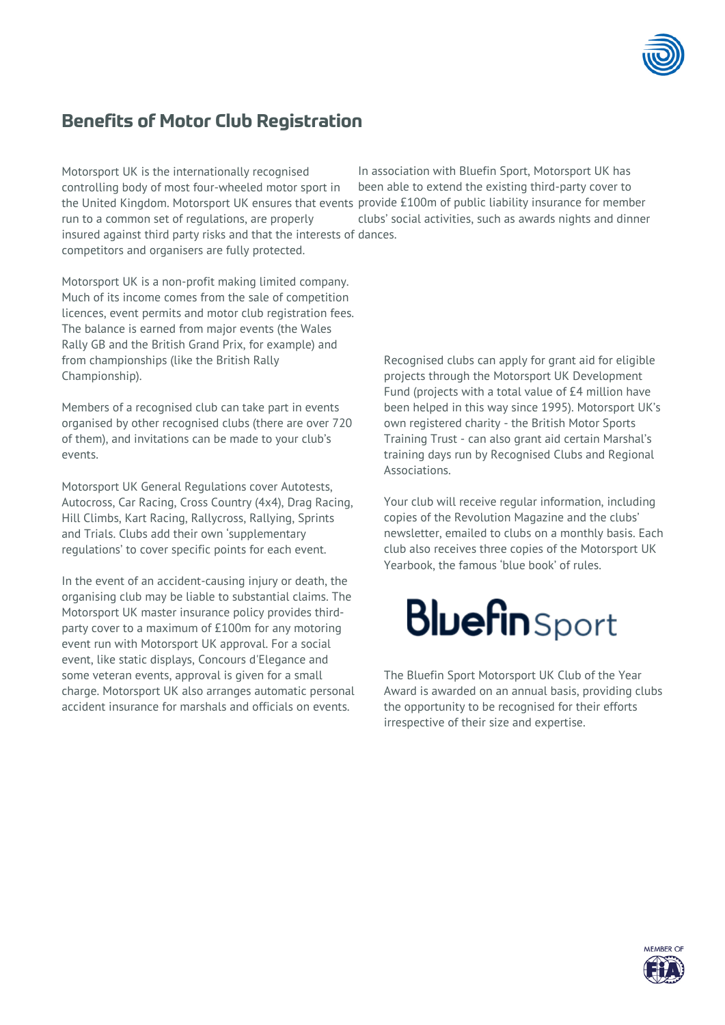

## **Benefits of Motor Club Registration**

Motorsport UK is the internationally recognised controlling body of most four-wheeled motor sport in the United Kingdom. Motorsport UK ensures that events provide £100m of public liability insurance for member run to a common set of regulations, are properly insured against third party risks and that the interests of dances. competitors and organisers are fully protected.

In association with Bluefin Sport, Motorsport UK has been able to extend the existing third-party cover to clubs' social activities, such as awards nights and dinner

Motorsport UK is a non-profit making limited company. Much of its income comes from the sale of competition licences, event permits and motor club registration fees. The balance is earned from major events (the Wales Rally GB and the British Grand Prix, for example) and from championships (like the British Rally Championship).

Members of a recognised club can take part in events organised by other recognised clubs (there are over 720 of them), and invitations can be made to your club's events.

Motorsport UK General Regulations cover Autotests, Autocross, Car Racing, Cross Country (4x4), Drag Racing, Hill Climbs, Kart Racing, Rallycross, Rallying, Sprints and Trials. Clubs add their own 'supplementary regulations' to cover specific points for each event.

In the event of an accident-causing injury or death, the organising club may be liable to substantial claims. The Motorsport UK master insurance policy provides thirdparty cover to a maximum of £100m for any motoring event run with Motorsport UK approval. For a social event, like static displays, Concours d'Elegance and some veteran events, approval is given for a small charge. Motorsport UK also arranges automatic personal accident insurance for marshals and officials on events.

Recognised clubs can apply for grant aid for eligible projects through the Motorsport UK Development Fund (projects with a total value of £4 million have been helped in this way since 1995). Motorsport UK's own registered charity - the British Motor Sports Training Trust - can also grant aid certain Marshal's training days run by Recognised Clubs and Regional Associations.

Your club will receive regular information, including copies of the Revolution Magazine and the clubs' newsletter, emailed to clubs on a monthly basis. Each club also receives three copies of the Motorsport UK Yearbook, the famous 'blue book' of rules.

# **Bluefin** Sport

The Bluefin Sport Motorsport UK Club of the Year Award is awarded on an annual basis, providing clubs the opportunity to be recognised for their efforts irrespective of their size and expertise.

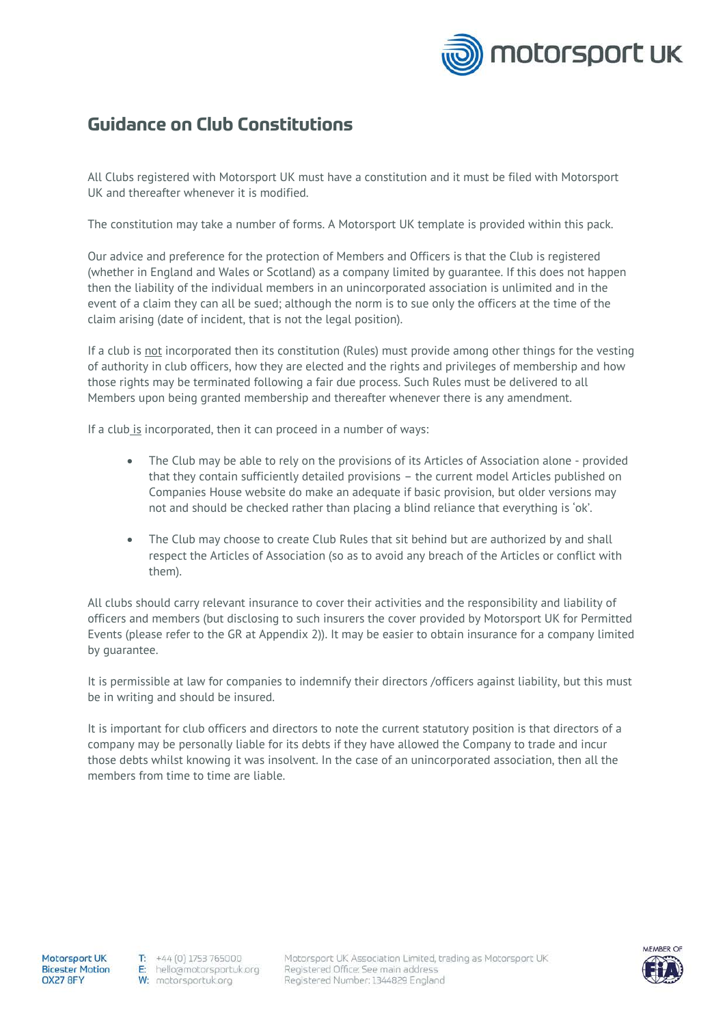

## **Guidance on Club Constitutions**

All Clubs registered with Motorsport UK must have a constitution and it must be filed with Motorsport UK and thereafter whenever it is modified.

The constitution may take a number of forms. A Motorsport UK template is provided within this pack.

Our advice and preference for the protection of Members and Officers is that the Club is registered (whether in England and Wales or Scotland) as a company limited by guarantee. If this does not happen then the liability of the individual members in an unincorporated association is unlimited and in the event of a claim they can all be sued; although the norm is to sue only the officers at the time of the claim arising (date of incident, that is not the legal position).

If a club is not incorporated then its constitution (Rules) must provide among other things for the vesting of authority in club officers, how they are elected and the rights and privileges of membership and how those rights may be terminated following a fair due process. Such Rules must be delivered to all Members upon being granted membership and thereafter whenever there is any amendment.

If a club is incorporated, then it can proceed in a number of ways:

- The Club may be able to rely on the provisions of its Articles of Association alone provided that they contain sufficiently detailed provisions – the current model Articles published on Companies House website do make an adequate if basic provision, but older versions may not and should be checked rather than placing a blind reliance that everything is 'ok'.
- The Club may choose to create Club Rules that sit behind but are authorized by and shall respect the Articles of Association (so as to avoid any breach of the Articles or conflict with them).

All clubs should carry relevant insurance to cover their activities and the responsibility and liability of officers and members (but disclosing to such insurers the cover provided by Motorsport UK for Permitted Events (please refer to the GR at Appendix 2)). It may be easier to obtain insurance for a company limited by guarantee.

It is permissible at law for companies to indemnify their directors /officers against liability, but this must be in writing and should be insured.

It is important for club officers and directors to note the current statutory position is that directors of a company may be personally liable for its debts if they have allowed the Company to trade and incur those debts whilst knowing it was insolvent. In the case of an unincorporated association, then all the members from time to time are liable.

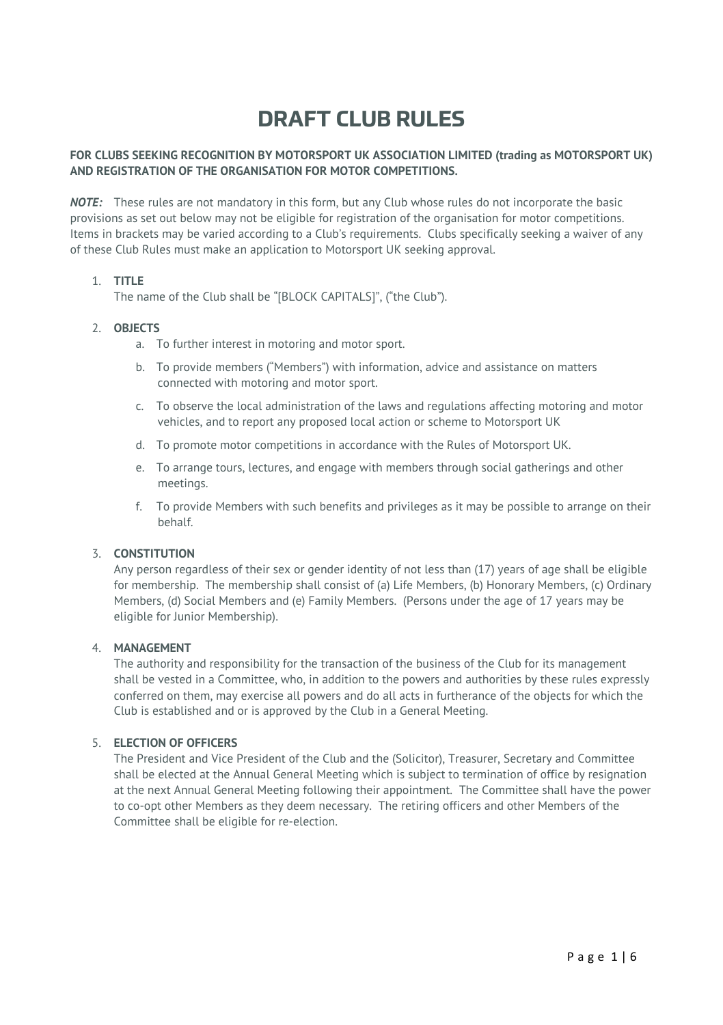## **DRAFT CLUB RULES**

#### **FOR CLUBS SEEKING RECOGNITION BY MOTORSPORT UK ASSOCIATION LIMITED (trading as MOTORSPORT UK) AND REGISTRATION OF THE ORGANISATION FOR MOTOR COMPETITIONS.**

*NOTE:* These rules are not mandatory in this form, but any Club whose rules do not incorporate the basic provisions as set out below may not be eligible for registration of the organisation for motor competitions. Items in brackets may be varied according to a Club's requirements. Clubs specifically seeking a waiver of any of these Club Rules must make an application to Motorsport UK seeking approval.

#### 1. **TITLE**

The name of the Club shall be "[BLOCK CAPITALS]", ("the Club").

#### 2. **OBJECTS**

- a. To further interest in motoring and motor sport.
- b. To provide members ("Members") with information, advice and assistance on matters connected with motoring and motor sport.
- c. To observe the local administration of the laws and regulations affecting motoring and motor vehicles, and to report any proposed local action or scheme to Motorsport UK
- d. To promote motor competitions in accordance with the Rules of Motorsport UK.
- e. To arrange tours, lectures, and engage with members through social gatherings and other meetings.
- f. To provide Members with such benefits and privileges as it may be possible to arrange on their behalf.

#### 3. **CONSTITUTION**

Any person regardless of their sex or gender identity of not less than (17) years of age shall be eligible for membership. The membership shall consist of (a) Life Members, (b) Honorary Members, (c) Ordinary Members, (d) Social Members and (e) Family Members. (Persons under the age of 17 years may be eligible for Junior Membership).

#### 4. **MANAGEMENT**

The authority and responsibility for the transaction of the business of the Club for its management shall be vested in a Committee, who, in addition to the powers and authorities by these rules expressly conferred on them, may exercise all powers and do all acts in furtherance of the objects for which the Club is established and or is approved by the Club in a General Meeting.

#### 5. **ELECTION OF OFFICERS**

The President and Vice President of the Club and the (Solicitor), Treasurer, Secretary and Committee shall be elected at the Annual General Meeting which is subject to termination of office by resignation at the next Annual General Meeting following their appointment. The Committee shall have the power to co-opt other Members as they deem necessary. The retiring officers and other Members of the Committee shall be eligible for re-election.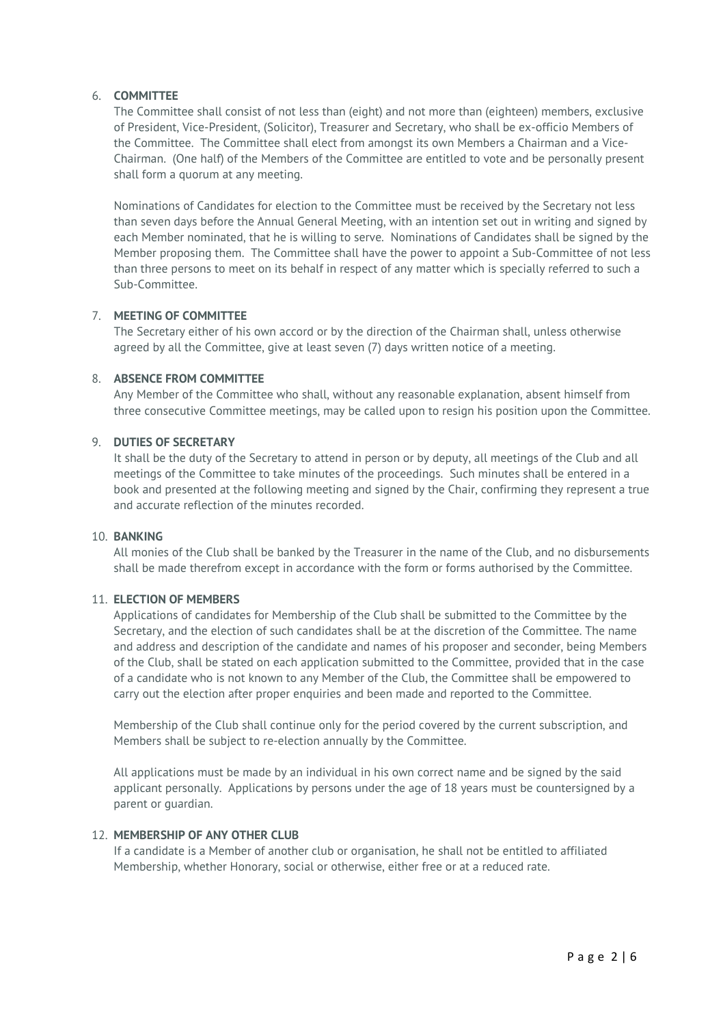#### 6. **COMMITTEE**

The Committee shall consist of not less than (eight) and not more than (eighteen) members, exclusive of President, Vice-President, (Solicitor), Treasurer and Secretary, who shall be ex-officio Members of the Committee. The Committee shall elect from amongst its own Members a Chairman and a Vice-Chairman. (One half) of the Members of the Committee are entitled to vote and be personally present shall form a quorum at any meeting.

Nominations of Candidates for election to the Committee must be received by the Secretary not less than seven days before the Annual General Meeting, with an intention set out in writing and signed by each Member nominated, that he is willing to serve. Nominations of Candidates shall be signed by the Member proposing them. The Committee shall have the power to appoint a Sub-Committee of not less than three persons to meet on its behalf in respect of any matter which is specially referred to such a Sub-Committee.

### 7. **MEETING OF COMMITTEE**

The Secretary either of his own accord or by the direction of the Chairman shall, unless otherwise agreed by all the Committee, give at least seven (7) days written notice of a meeting.

#### 8. **ABSENCE FROM COMMITTEE**

Any Member of the Committee who shall, without any reasonable explanation, absent himself from three consecutive Committee meetings, may be called upon to resign his position upon the Committee.

#### 9. **DUTIES OF SECRETARY**

It shall be the duty of the Secretary to attend in person or by deputy, all meetings of the Club and all meetings of the Committee to take minutes of the proceedings. Such minutes shall be entered in a book and presented at the following meeting and signed by the Chair, confirming they represent a true and accurate reflection of the minutes recorded.

#### 10. **BANKING**

All monies of the Club shall be banked by the Treasurer in the name of the Club, and no disbursements shall be made therefrom except in accordance with the form or forms authorised by the Committee.

#### 11. **ELECTION OF MEMBERS**

Applications of candidates for Membership of the Club shall be submitted to the Committee by the Secretary, and the election of such candidates shall be at the discretion of the Committee. The name and address and description of the candidate and names of his proposer and seconder, being Members of the Club, shall be stated on each application submitted to the Committee, provided that in the case of a candidate who is not known to any Member of the Club, the Committee shall be empowered to carry out the election after proper enquiries and been made and reported to the Committee.

Membership of the Club shall continue only for the period covered by the current subscription, and Members shall be subject to re-election annually by the Committee.

All applications must be made by an individual in his own correct name and be signed by the said applicant personally. Applications by persons under the age of 18 years must be countersigned by a parent or guardian.

#### 12. **MEMBERSHIP OF ANY OTHER CLUB**

If a candidate is a Member of another club or organisation, he shall not be entitled to affiliated Membership, whether Honorary, social or otherwise, either free or at a reduced rate.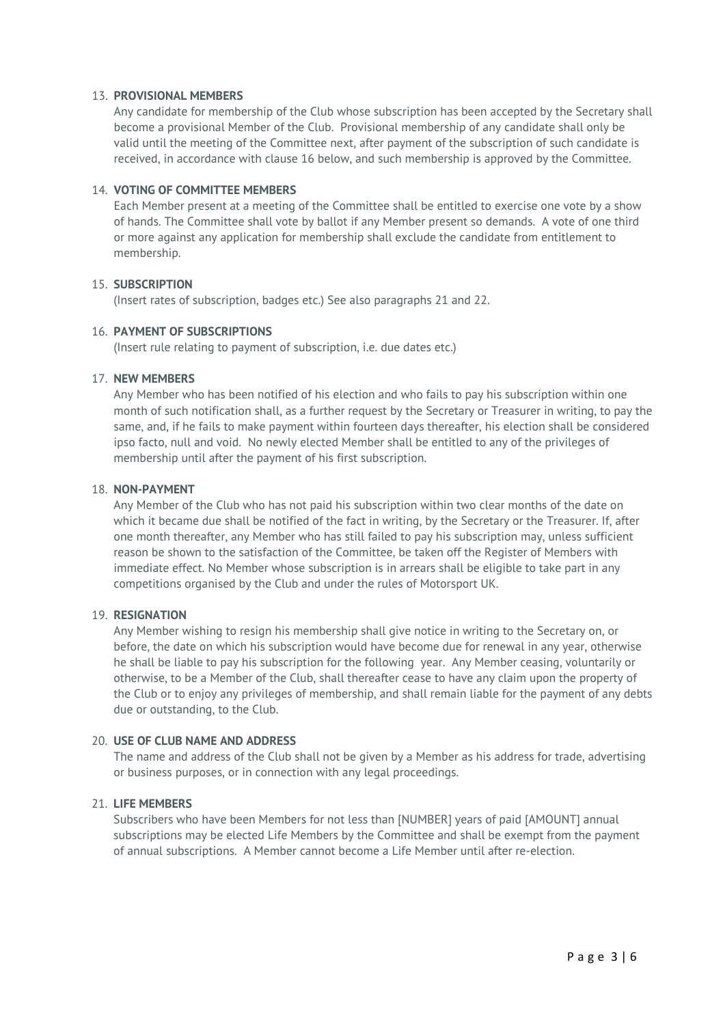#### 13. **PROVISIONAL MEMBERS**

Any candidate for membership of the Club whose subscription has been accepted by the Secretary shall become a provisional Member of the Club. Provisional membership of any candidate shall only be valid until the meeting of the Committee next, after payment of the subscription of such candidate is received, in accordance with clause 16 below, and such membership is approved by the Committee.

#### 14. **VOTING OF COMMITTEE MEMBERS**

Each Member present at a meeting of the Committee shall be entitled to exercise one vote by a show of hands. The Committee shall vote by ballot if any Member present so demands. A vote of one third or more against any application for membership shall exclude the candidate from entitlement to membership.

#### 15. **SUBSCRIPTION**

(Insert rates of subscription, badges etc.) See also paragraphs 21 and 22.

#### 16. **PAYMENT OF SUBSCRIPTIONS**

(Insert rule relating to payment of subscription, i.e. due dates etc.)

#### 17. **NEW MEMBERS**

Any Member who has been notified of his election and who fails to pay his subscription within one month of such notification shall, as a further request by the Secretary or Treasurer in writing, to pay the same, and, if he fails to make payment within fourteen days thereafter, his election shall be considered ipso facto, null and void. No newly elected Member shall be entitled to any of the privileges of membership until after the payment of his first subscription.

#### 18. **NON-PAYMENT**

Any Member of the Club who has not paid his subscription within two clear months of the date on which it became due shall be notified of the fact in writing, by the Secretary or the Treasurer. If, after one month thereafter, any Member who has still failed to pay his subscription may, unless sufficient reason be shown to the satisfaction of the Committee, be taken off the Register of Members with immediate effect. No Member whose subscription is in arrears shall be eligible to take part in any competitions organised by the Club and under the rules of Motorsport UK.

#### 19. **RESIGNATION**

Any Member wishing to resign his membership shall give notice in writing to the Secretary on, or before, the date on which his subscription would have become due for renewal in any year, otherwise he shall be liable to pay his subscription for the following year. Any Member ceasing, voluntarily or otherwise, to be a Member of the Club, shall thereafter cease to have any claim upon the property of the Club or to enjoy any privileges of membership, and shall remain liable for the payment of any debts due or outstanding, to the Club.

#### 20. **USE OF CLUB NAME AND ADDRESS**

The name and address of the Club shall not be given by a Member as his address for trade, advertising or business purposes, or in connection with any legal proceedings.

#### 21. **LIFE MEMBERS**

Subscribers who have been Members for not less than [NUMBER] years of paid [AMOUNT] annual subscriptions may be elected Life Members by the Committee and shall be exempt from the payment of annual subscriptions. A Member cannot become a Life Member until after re-election.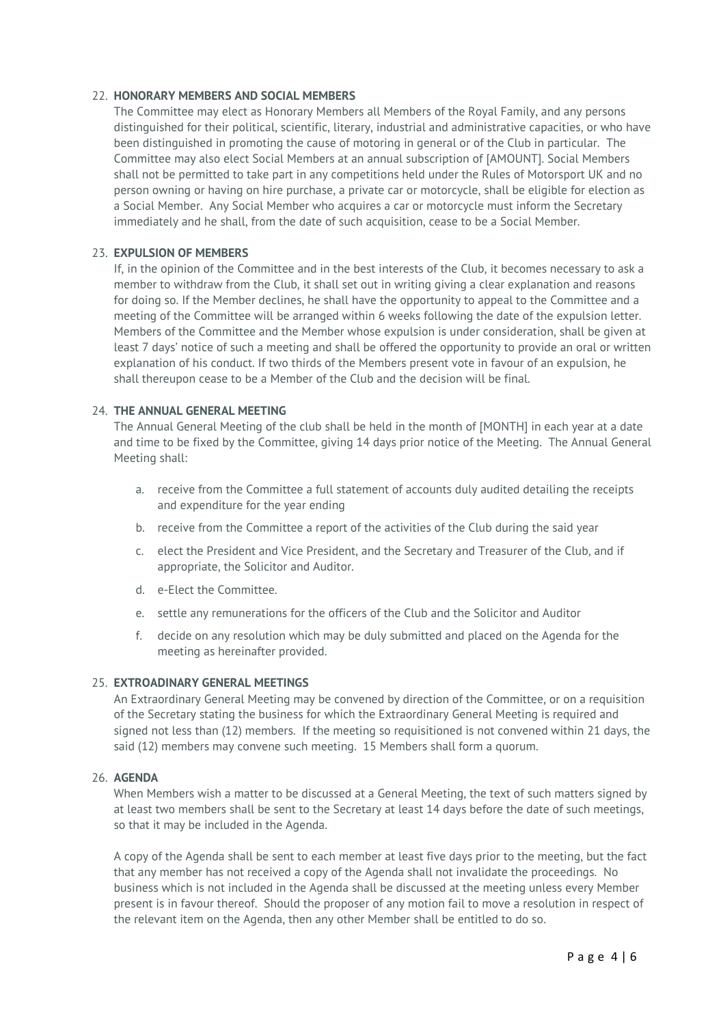#### 22. **HONORARY MEMBERS AND SOCIAL MEMBERS**

The Committee may elect as Honorary Members all Members of the Royal Family, and any persons distinguished for their political, scientific, literary, industrial and administrative capacities, or who have been distinguished in promoting the cause of motoring in general or of the Club in particular. The Committee may also elect Social Members at an annual subscription of [AMOUNT]. Social Members shall not be permitted to take part in any competitions held under the Rules of Motorsport UK and no person owning or having on hire purchase, a private car or motorcycle, shall be eligible for election as a Social Member. Any Social Member who acquires a car or motorcycle must inform the Secretary immediately and he shall, from the date of such acquisition, cease to be a Social Member.

#### 23. **EXPULSION OF MEMBERS**

If, in the opinion of the Committee and in the best interests of the Club, it becomes necessary to ask a member to withdraw from the Club, it shall set out in writing giving a clear explanation and reasons for doing so. If the Member declines, he shall have the opportunity to appeal to the Committee and a meeting of the Committee will be arranged within 6 weeks following the date of the expulsion letter. Members of the Committee and the Member whose expulsion is under consideration, shall be given at least 7 days' notice of such a meeting and shall be offered the opportunity to provide an oral or written explanation of his conduct. If two thirds of the Members present vote in favour of an expulsion, he shall thereupon cease to be a Member of the Club and the decision will be final.

#### 24. **THE ANNUAL GENERAL MEETING**

The Annual General Meeting of the club shall be held in the month of [MONTH] in each year at a date and time to be fixed by the Committee, giving 14 days prior notice of the Meeting. The Annual General Meeting shall:

- a. receive from the Committee a full statement of accounts duly audited detailing the receipts and expenditure for the year ending
- b. receive from the Committee a report of the activities of the Club during the said year
- c. elect the President and Vice President, and the Secretary and Treasurer of the Club, and if appropriate, the Solicitor and Auditor.
- d. e-Elect the Committee.
- e. settle any remunerations for the officers of the Club and the Solicitor and Auditor
- f. decide on any resolution which may be duly submitted and placed on the Agenda for the meeting as hereinafter provided.

#### 25. **EXTROADINARY GENERAL MEETINGS**

An Extraordinary General Meeting may be convened by direction of the Committee, or on a requisition of the Secretary stating the business for which the Extraordinary General Meeting is required and signed not less than (12) members. If the meeting so requisitioned is not convened within 21 days, the said (12) members may convene such meeting. 15 Members shall form a quorum.

#### 26. **AGENDA**

When Members wish a matter to be discussed at a General Meeting, the text of such matters signed by at least two members shall be sent to the Secretary at least 14 days before the date of such meetings, so that it may be included in the Agenda.

A copy of the Agenda shall be sent to each member at least five days prior to the meeting, but the fact that any member has not received a copy of the Agenda shall not invalidate the proceedings. No business which is not included in the Agenda shall be discussed at the meeting unless every Member present is in favour thereof. Should the proposer of any motion fail to move a resolution in respect of the relevant item on the Agenda, then any other Member shall be entitled to do so.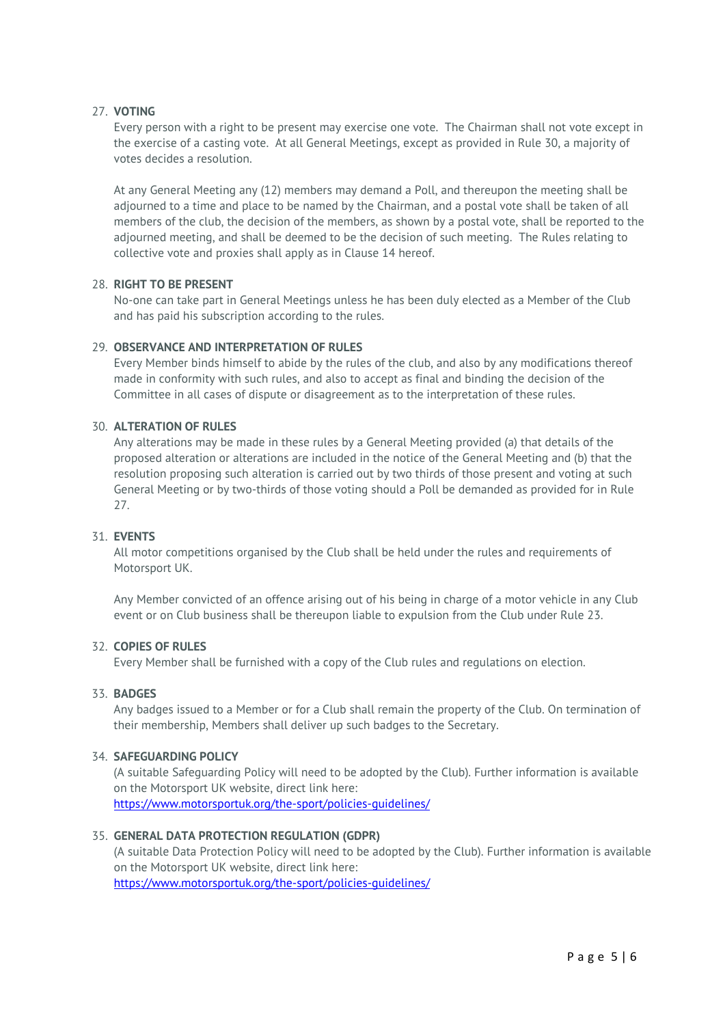#### 27. **VOTING**

Every person with a right to be present may exercise one vote. The Chairman shall not vote except in the exercise of a casting vote. At all General Meetings, except as provided in Rule 30, a majority of votes decides a resolution.

At any General Meeting any (12) members may demand a Poll, and thereupon the meeting shall be adjourned to a time and place to be named by the Chairman, and a postal vote shall be taken of all members of the club, the decision of the members, as shown by a postal vote, shall be reported to the adjourned meeting, and shall be deemed to be the decision of such meeting. The Rules relating to collective vote and proxies shall apply as in Clause 14 hereof.

#### 28. **RIGHT TO BE PRESENT**

No-one can take part in General Meetings unless he has been duly elected as a Member of the Club and has paid his subscription according to the rules.

#### 29. **OBSERVANCE AND INTERPRETATION OF RULES**

Every Member binds himself to abide by the rules of the club, and also by any modifications thereof made in conformity with such rules, and also to accept as final and binding the decision of the Committee in all cases of dispute or disagreement as to the interpretation of these rules.

#### 30. **ALTERATION OF RULES**

Any alterations may be made in these rules by a General Meeting provided (a) that details of the proposed alteration or alterations are included in the notice of the General Meeting and (b) that the resolution proposing such alteration is carried out by two thirds of those present and voting at such General Meeting or by two-thirds of those voting should a Poll be demanded as provided for in Rule 27.

#### 31. **EVENTS**

All motor competitions organised by the Club shall be held under the rules and requirements of Motorsport UK.

Any Member convicted of an offence arising out of his being in charge of a motor vehicle in any Club event or on Club business shall be thereupon liable to expulsion from the Club under Rule 23.

#### 32. **COPIES OF RULES**

Every Member shall be furnished with a copy of the Club rules and regulations on election.

#### 33. **BADGES**

Any badges issued to a Member or for a Club shall remain the property of the Club. On termination of their membership, Members shall deliver up such badges to the Secretary.

#### 34. **SAFEGUARDING POLICY**

(A suitable Safeguarding Policy will need to be adopted by the Club). Further information is available on the Motorsport UK website, direct link here: <https://www.motorsportuk.org/the-sport/policies-guidelines/>

#### 35. **GENERAL DATA PROTECTION REGULATION (GDPR)**

(A suitable Data Protection Policy will need to be adopted by the Club). Further information is available on the Motorsport UK website, direct link here:

<https://www.motorsportuk.org/the-sport/policies-guidelines/>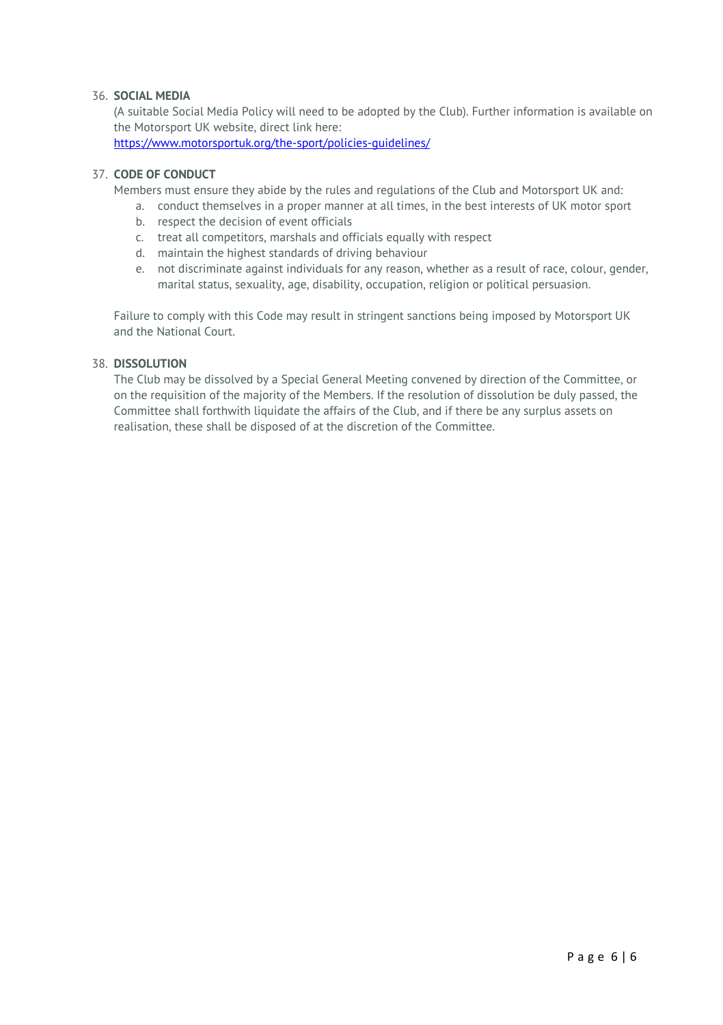#### 36. **SOCIAL MEDIA**

(A suitable Social Media Policy will need to be adopted by the Club). Further information is available on the Motorsport UK website, direct link here:

<https://www.motorsportuk.org/the-sport/policies-guidelines/>

#### 37. **CODE OF CONDUCT**

Members must ensure they abide by the rules and regulations of the Club and Motorsport UK and:

- a. conduct themselves in a proper manner at all times, in the best interests of UK motor sport
- b. respect the decision of event officials
- c. treat all competitors, marshals and officials equally with respect
- d. maintain the highest standards of driving behaviour
- e. not discriminate against individuals for any reason, whether as a result of race, colour, gender, marital status, sexuality, age, disability, occupation, religion or political persuasion.

Failure to comply with this Code may result in stringent sanctions being imposed by Motorsport UK and the National Court.

#### 38. **DISSOLUTION**

The Club may be dissolved by a Special General Meeting convened by direction of the Committee, or on the requisition of the majority of the Members. If the resolution of dissolution be duly passed, the Committee shall forthwith liquidate the affairs of the Club, and if there be any surplus assets on realisation, these shall be disposed of at the discretion of the Committee.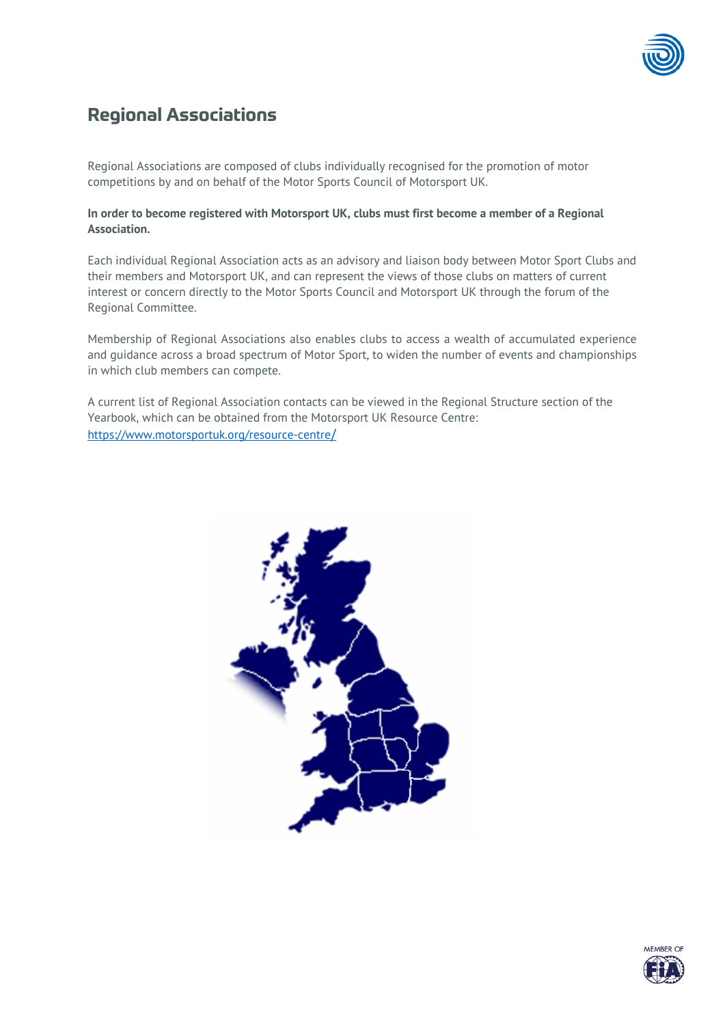

## **Regional Associations**

Regional Associations are composed of clubs individually recognised for the promotion of motor competitions by and on behalf of the Motor Sports Council of Motorsport UK.

#### **In order to become registered with Motorsport UK, clubs must first become a member of a Regional Association.**

Each individual Regional Association acts as an advisory and liaison body between Motor Sport Clubs and their members and Motorsport UK, and can represent the views of those clubs on matters of current interest or concern directly to the Motor Sports Council and Motorsport UK through the forum of the Regional Committee.

Membership of Regional Associations also enables clubs to access a wealth of accumulated experience and guidance across a broad spectrum of Motor Sport, to widen the number of events and championships in which club members can compete.

A current list of Regional Association contacts can be viewed in the Regional Structure section of the Yearbook, which can be obtained from the Motorsport UK Resource Centre: [https://www.motorsportuk.org/resource-centre](https://www.motorsportuk.org/resource-centre/)[/](https://www.motorsportuk.org/resource-centre/)